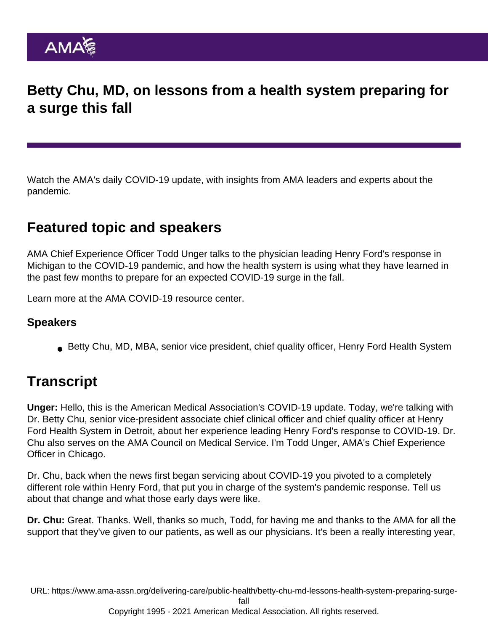## Betty Chu, MD, on lessons from a health system preparing for a surge this fall

Watch the AMA's daily COVID-19 update, with insights from AMA leaders and experts about the pandemic.

## Featured topic and speakers

AMA Chief Experience Officer Todd Unger talks to the physician leading Henry Ford's response in Michigan to the COVID-19 pandemic, and how the health system is using what they have learned in the past few months to prepare for an expected COVID-19 surge in the fall.

Learn more at the [AMA COVID-19 resource center](https://www.ama-assn.org/delivering-care/public-health/covid-19-2019-novel-coronavirus-resource-center-physicians).

## Speakers

Betty Chu, MD, MBA, senior vice president, chief quality officer, Henry Ford Health System

## **Transcript**

Unger: Hello, this is the American Medical Association's COVID-19 update. Today, we're talking with Dr. Betty Chu, senior vice-president associate chief clinical officer and chief quality officer at Henry Ford Health System in Detroit, about her experience leading Henry Ford's response to COVID-19. Dr. Chu also serves on the AMA Council on Medical Service. I'm Todd Unger, AMA's Chief Experience Officer in Chicago.

Dr. Chu, back when the news first began servicing about COVID-19 you pivoted to a completely different role within Henry Ford, that put you in charge of the system's pandemic response. Tell us about that change and what those early days were like.

Dr. Chu: Great. Thanks. Well, thanks so much, Todd, for having me and thanks to the AMA for all the support that they've given to our patients, as well as our physicians. It's been a really interesting year,

URL: [https://www.ama-assn.org/delivering-care/public-health/betty-chu-md-lessons-health-system-preparing-surge-](https://www.ama-assn.org/delivering-care/public-health/betty-chu-md-lessons-health-system-preparing-surge-fall)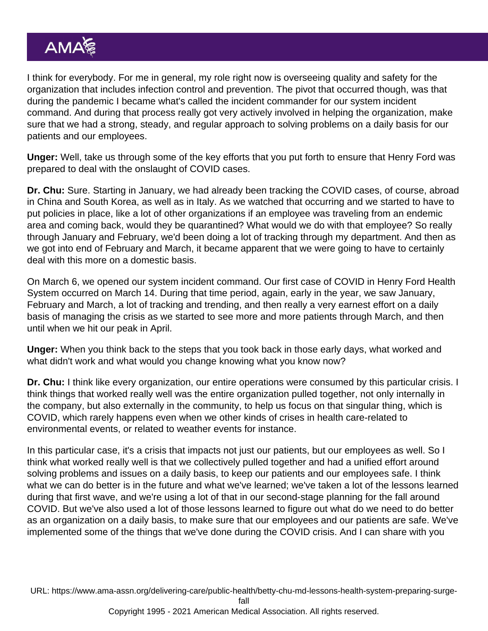I think for everybody. For me in general, my role right now is overseeing quality and safety for the organization that includes infection control and prevention. The pivot that occurred though, was that during the pandemic I became what's called the incident commander for our system incident command. And during that process really got very actively involved in helping the organization, make sure that we had a strong, steady, and regular approach to solving problems on a daily basis for our patients and our employees.

Unger: Well, take us through some of the key efforts that you put forth to ensure that Henry Ford was prepared to deal with the onslaught of COVID cases.

Dr. Chu: Sure. Starting in January, we had already been tracking the COVID cases, of course, abroad in China and South Korea, as well as in Italy. As we watched that occurring and we started to have to put policies in place, like a lot of other organizations if an employee was traveling from an endemic area and coming back, would they be quarantined? What would we do with that employee? So really through January and February, we'd been doing a lot of tracking through my department. And then as we got into end of February and March, it became apparent that we were going to have to certainly deal with this more on a domestic basis.

On March 6, we opened our system incident command. Our first case of COVID in Henry Ford Health System occurred on March 14. During that time period, again, early in the year, we saw January, February and March, a lot of tracking and trending, and then really a very earnest effort on a daily basis of managing the crisis as we started to see more and more patients through March, and then until when we hit our peak in April.

Unger: When you think back to the steps that you took back in those early days, what worked and what didn't work and what would you change knowing what you know now?

Dr. Chu: I think like every organization, our entire operations were consumed by this particular crisis. I think things that worked really well was the entire organization pulled together, not only internally in the company, but also externally in the community, to help us focus on that singular thing, which is COVID, which rarely happens even when we other kinds of crises in health care-related to environmental events, or related to weather events for instance.

In this particular case, it's a crisis that impacts not just our patients, but our employees as well. So I think what worked really well is that we collectively pulled together and had a unified effort around solving problems and issues on a daily basis, to keep our patients and our employees safe. I think what we can do better is in the future and what we've learned; we've taken a lot of the lessons learned during that first wave, and we're using a lot of that in our second-stage planning for the fall around COVID. But we've also used a lot of those lessons learned to figure out what do we need to do better as an organization on a daily basis, to make sure that our employees and our patients are safe. We've implemented some of the things that we've done during the COVID crisis. And I can share with you

URL: [https://www.ama-assn.org/delivering-care/public-health/betty-chu-md-lessons-health-system-preparing-surge-](https://www.ama-assn.org/delivering-care/public-health/betty-chu-md-lessons-health-system-preparing-surge-fall)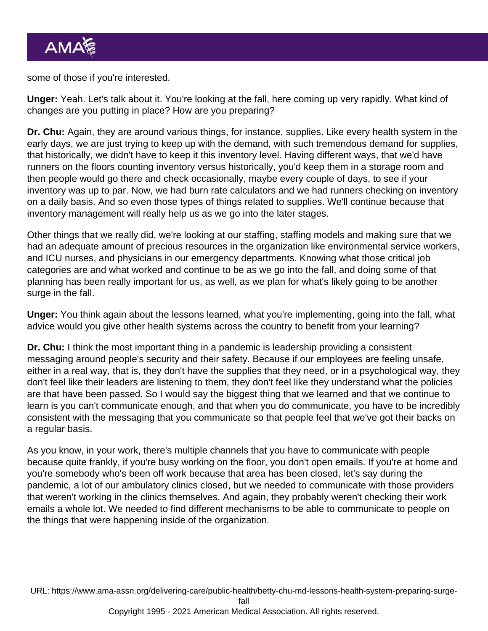some of those if you're interested.

Unger: Yeah. Let's talk about it. You're looking at the fall, here coming up very rapidly. What kind of changes are you putting in place? How are you preparing?

Dr. Chu: Again, they are around various things, for instance, supplies. Like every health system in the early days, we are just trying to keep up with the demand, with such tremendous demand for supplies, that historically, we didn't have to keep it this inventory level. Having different ways, that we'd have runners on the floors counting inventory versus historically, you'd keep them in a storage room and then people would go there and check occasionally, maybe every couple of days, to see if your inventory was up to par. Now, we had burn rate calculators and we had runners checking on inventory on a daily basis. And so even those types of things related to supplies. We'll continue because that inventory management will really help us as we go into the later stages.

Other things that we really did, we're looking at our staffing, staffing models and making sure that we had an adequate amount of precious resources in the organization like environmental service workers, and ICU nurses, and physicians in our emergency departments. Knowing what those critical job categories are and what worked and continue to be as we go into the fall, and doing some of that planning has been really important for us, as well, as we plan for what's likely going to be another surge in the fall.

Unger: You think again about the lessons learned, what you're implementing, going into the fall, what advice would you give other health systems across the country to benefit from your learning?

Dr. Chu: I think the most important thing in a pandemic is leadership providing a consistent messaging around people's security and their safety. Because if our employees are feeling unsafe, either in a real way, that is, they don't have the supplies that they need, or in a psychological way, they don't feel like their leaders are listening to them, they don't feel like they understand what the policies are that have been passed. So I would say the biggest thing that we learned and that we continue to learn is you can't communicate enough, and that when you do communicate, you have to be incredibly consistent with the messaging that you communicate so that people feel that we've got their backs on a regular basis.

As you know, in your work, there's multiple channels that you have to communicate with people because quite frankly, if you're busy working on the floor, you don't open emails. If you're at home and you're somebody who's been off work because that area has been closed, let's say during the pandemic, a lot of our ambulatory clinics closed, but we needed to communicate with those providers that weren't working in the clinics themselves. And again, they probably weren't checking their work emails a whole lot. We needed to find different mechanisms to be able to communicate to people on the things that were happening inside of the organization.

URL: [https://www.ama-assn.org/delivering-care/public-health/betty-chu-md-lessons-health-system-preparing-surge-](https://www.ama-assn.org/delivering-care/public-health/betty-chu-md-lessons-health-system-preparing-surge-fall)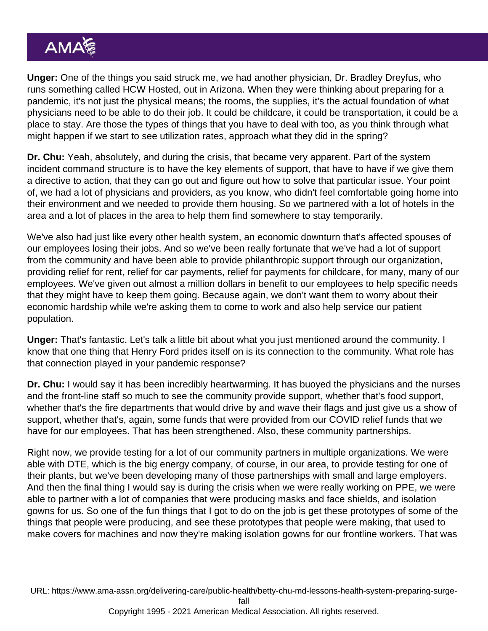Unger: One of the things you said struck me, we had another physician, Dr. Bradley Dreyfus, who runs something called HCW Hosted, out in Arizona. When they were thinking about preparing for a pandemic, it's not just the physical means; the rooms, the supplies, it's the actual foundation of what physicians need to be able to do their job. It could be childcare, it could be transportation, it could be a place to stay. Are those the types of things that you have to deal with too, as you think through what might happen if we start to see utilization rates, approach what they did in the spring?

Dr. Chu: Yeah, absolutely, and during the crisis, that became very apparent. Part of the system incident command structure is to have the key elements of support, that have to have if we give them a directive to action, that they can go out and figure out how to solve that particular issue. Your point of, we had a lot of physicians and providers, as you know, who didn't feel comfortable going home into their environment and we needed to provide them housing. So we partnered with a lot of hotels in the area and a lot of places in the area to help them find somewhere to stay temporarily.

We've also had just like every other health system, an economic downturn that's affected spouses of our employees losing their jobs. And so we've been really fortunate that we've had a lot of support from the community and have been able to provide philanthropic support through our organization, providing relief for rent, relief for car payments, relief for payments for childcare, for many, many of our employees. We've given out almost a million dollars in benefit to our employees to help specific needs that they might have to keep them going. Because again, we don't want them to worry about their economic hardship while we're asking them to come to work and also help service our patient population.

Unger: That's fantastic. Let's talk a little bit about what you just mentioned around the community. I know that one thing that Henry Ford prides itself on is its connection to the community. What role has that connection played in your pandemic response?

Dr. Chu: I would say it has been incredibly heartwarming. It has buoyed the physicians and the nurses and the front-line staff so much to see the community provide support, whether that's food support, whether that's the fire departments that would drive by and wave their flags and just give us a show of support, whether that's, again, some funds that were provided from our COVID relief funds that we have for our employees. That has been strengthened. Also, these community partnerships.

Right now, we provide testing for a lot of our community partners in multiple organizations. We were able with DTE, which is the big energy company, of course, in our area, to provide testing for one of their plants, but we've been developing many of those partnerships with small and large employers. And then the final thing I would say is during the crisis when we were really working on PPE, we were able to partner with a lot of companies that were producing masks and face shields, and isolation gowns for us. So one of the fun things that I got to do on the job is get these prototypes of some of the things that people were producing, and see these prototypes that people were making, that used to make covers for machines and now they're making isolation gowns for our frontline workers. That was

URL: [https://www.ama-assn.org/delivering-care/public-health/betty-chu-md-lessons-health-system-preparing-surge-](https://www.ama-assn.org/delivering-care/public-health/betty-chu-md-lessons-health-system-preparing-surge-fall)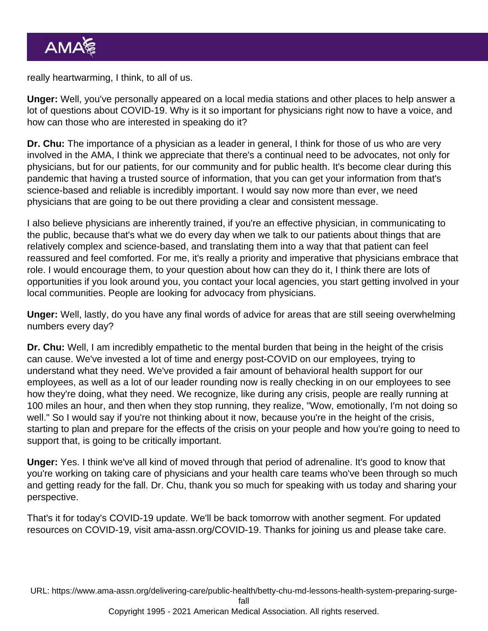really heartwarming, I think, to all of us.

Unger: Well, you've personally appeared on a local media stations and other places to help answer a lot of questions about COVID-19. Why is it so important for physicians right now to have a voice, and how can those who are interested in speaking do it?

Dr. Chu: The importance of a physician as a leader in general, I think for those of us who are very involved in the AMA, I think we appreciate that there's a continual need to be advocates, not only for physicians, but for our patients, for our community and for public health. It's become clear during this pandemic that having a trusted source of information, that you can get your information from that's science-based and reliable is incredibly important. I would say now more than ever, we need physicians that are going to be out there providing a clear and consistent message.

I also believe physicians are inherently trained, if you're an effective physician, in communicating to the public, because that's what we do every day when we talk to our patients about things that are relatively complex and science-based, and translating them into a way that that patient can feel reassured and feel comforted. For me, it's really a priority and imperative that physicians embrace that role. I would encourage them, to your question about how can they do it, I think there are lots of opportunities if you look around you, you contact your local agencies, you start getting involved in your local communities. People are looking for advocacy from physicians.

Unger: Well, lastly, do you have any final words of advice for areas that are still seeing overwhelming numbers every day?

Dr. Chu: Well, I am incredibly empathetic to the mental burden that being in the height of the crisis can cause. We've invested a lot of time and energy post-COVID on our employees, trying to understand what they need. We've provided a fair amount of behavioral health support for our employees, as well as a lot of our leader rounding now is really checking in on our employees to see how they're doing, what they need. We recognize, like during any crisis, people are really running at 100 miles an hour, and then when they stop running, they realize, "Wow, emotionally, I'm not doing so well." So I would say if you're not thinking about it now, because you're in the height of the crisis, starting to plan and prepare for the effects of the crisis on your people and how you're going to need to support that, is going to be critically important.

Unger: Yes. I think we've all kind of moved through that period of adrenaline. It's good to know that you're working on taking care of physicians and your health care teams who've been through so much and getting ready for the fall. Dr. Chu, thank you so much for speaking with us today and sharing your perspective.

That's it for today's COVID-19 update. We'll be back tomorrow with another segment. For updated resources on COVID-19, visit [ama-assn.org/COVID-19.](https://www.ama-assn.org/delivering-care/public-health/covid-19-2019-novel-coronavirus-resource-center-physicians) Thanks for joining us and please take care.

URL: [https://www.ama-assn.org/delivering-care/public-health/betty-chu-md-lessons-health-system-preparing-surge-](https://www.ama-assn.org/delivering-care/public-health/betty-chu-md-lessons-health-system-preparing-surge-fall)